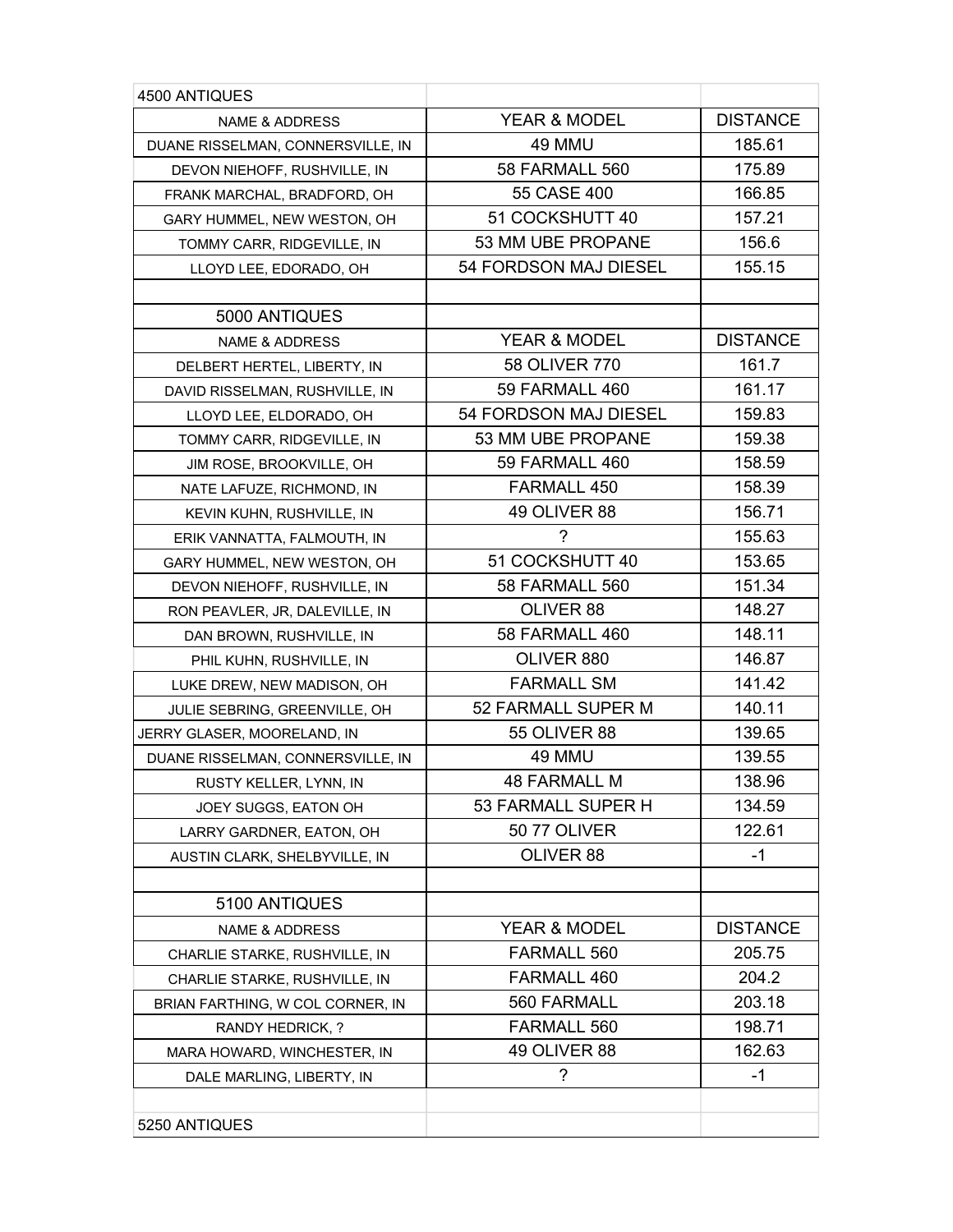| 4500 ANTIQUES                     |                       |                 |
|-----------------------------------|-----------------------|-----------------|
| <b>NAME &amp; ADDRESS</b>         | YEAR & MODEL          | <b>DISTANCE</b> |
| DUANE RISSELMAN, CONNERSVILLE, IN | 49 MMU                | 185.61          |
| DEVON NIEHOFF, RUSHVILLE, IN      | <b>58 FARMALL 560</b> | 175.89          |
| FRANK MARCHAL, BRADFORD, OH       | 55 CASE 400           | 166.85          |
| GARY HUMMEL, NEW WESTON, OH       | 51 COCKSHUTT 40       | 157.21          |
| TOMMY CARR, RIDGEVILLE, IN        | 53 MM UBE PROPANE     | 156.6           |
| LLOYD LEE, EDORADO, OH            | 54 FORDSON MAJ DIESEL | 155.15          |
|                                   |                       |                 |
| 5000 ANTIQUES                     |                       |                 |
| <b>NAME &amp; ADDRESS</b>         | YEAR & MODEL          | <b>DISTANCE</b> |
| DELBERT HERTEL, LIBERTY, IN       | 58 OLIVER 770         | 161.7           |
| DAVID RISSELMAN, RUSHVILLE, IN    | 59 FARMALL 460        | 161.17          |
| LLOYD LEE, ELDORADO, OH           | 54 FORDSON MAJ DIESEL | 159.83          |
| TOMMY CARR, RIDGEVILLE, IN        | 53 MM UBE PROPANE     | 159.38          |
| JIM ROSE, BROOKVILLE, OH          | 59 FARMALL 460        | 158.59          |
| NATE LAFUZE, RICHMOND, IN         | FARMALL 450           | 158.39          |
| KEVIN KUHN, RUSHVILLE, IN         | 49 OLIVER 88          | 156.71          |
| ERIK VANNATTA, FALMOUTH, IN       | ?                     | 155.63          |
| GARY HUMMEL, NEW WESTON, OH       | 51 COCKSHUTT 40       | 153.65          |
| DEVON NIEHOFF, RUSHVILLE, IN      | 58 FARMALL 560        | 151.34          |
| RON PEAVLER, JR, DALEVILLE, IN    | OLIVER 88             | 148.27          |
| DAN BROWN, RUSHVILLE, IN          | 58 FARMALL 460        | 148.11          |
| PHIL KUHN, RUSHVILLE, IN          | OLIVER 880            | 146.87          |
| LUKE DREW, NEW MADISON, OH        | <b>FARMALL SM</b>     | 141.42          |
| JULIE SEBRING, GREENVILLE, OH     | 52 FARMALL SUPER M    | 140.11          |
| JERRY GLASER, MOORELAND, IN       | <b>55 OLIVER 88</b>   | 139.65          |
| DUANE RISSELMAN, CONNERSVILLE, IN | 49 MMU                | 139.55          |
| RUSTY KELLER, LYNN, IN            | <b>48 FARMALL M</b>   | 138.96          |
| JOEY SUGGS, EATON OH              | 53 FARMALL SUPER H    | 134.59          |
| LARRY GARDNER, EATON, OH          | <b>50 77 OLIVER</b>   | 122.61          |
| AUSTIN CLARK, SHELBYVILLE, IN     | OLIVER 88             | $-1$            |
|                                   |                       |                 |
| 5100 ANTIQUES                     |                       |                 |
| <b>NAME &amp; ADDRESS</b>         | YEAR & MODEL          | <b>DISTANCE</b> |
| CHARLIE STARKE, RUSHVILLE, IN     | <b>FARMALL 560</b>    | 205.75          |
| CHARLIE STARKE, RUSHVILLE, IN     | FARMALL 460           | 204.2           |
| BRIAN FARTHING, W COL CORNER, IN  | 560 FARMALL           | 203.18          |
| RANDY HEDRICK, ?                  | FARMALL 560           | 198.71          |
| MARA HOWARD, WINCHESTER, IN       | 49 OLIVER 88          | 162.63          |
| DALE MARLING, LIBERTY, IN         | ?                     | -1              |
|                                   |                       |                 |
| 5250 ANTIQUES                     |                       |                 |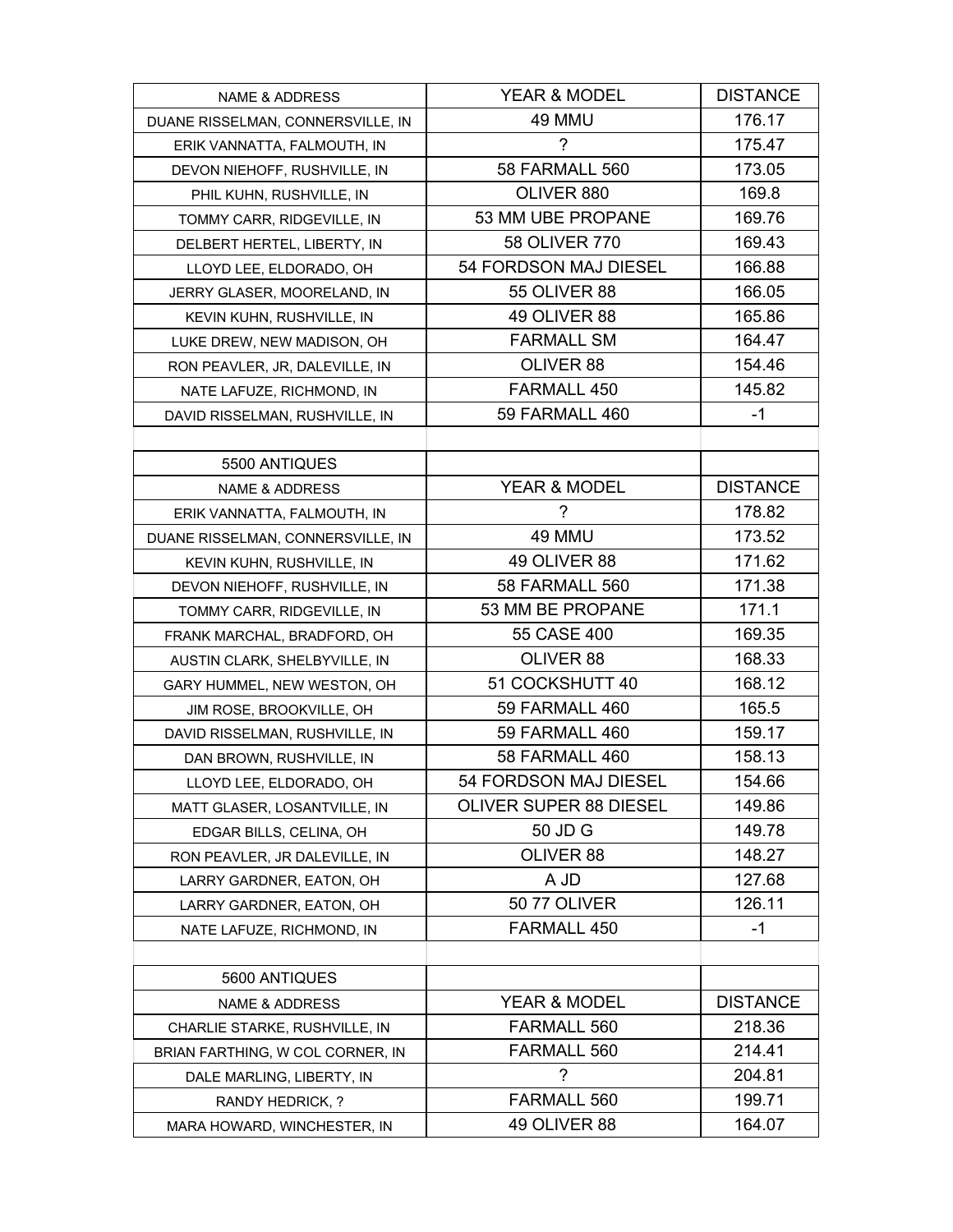| <b>NAME &amp; ADDRESS</b>         | YEAR & MODEL                  | <b>DISTANCE</b> |
|-----------------------------------|-------------------------------|-----------------|
| DUANE RISSELMAN, CONNERSVILLE, IN | 49 MMU                        | 176.17          |
| ERIK VANNATTA, FALMOUTH, IN       | ?                             | 175.47          |
| DEVON NIEHOFF, RUSHVILLE, IN      | 58 FARMALL 560                | 173.05          |
| PHIL KUHN, RUSHVILLE, IN          | OLIVER 880                    | 169.8           |
| TOMMY CARR, RIDGEVILLE, IN        | 53 MM UBE PROPANE             | 169.76          |
| DELBERT HERTEL, LIBERTY, IN       | 58 OLIVER 770                 | 169.43          |
| LLOYD LEE, ELDORADO, OH           | 54 FORDSON MAJ DIESEL         | 166.88          |
| JERRY GLASER, MOORELAND, IN       | <b>55 OLIVER 88</b>           | 166.05          |
| KEVIN KUHN, RUSHVILLE, IN         | 49 OLIVER 88                  | 165.86          |
| LUKE DREW, NEW MADISON, OH        | <b>FARMALL SM</b>             | 164.47          |
| RON PEAVLER, JR, DALEVILLE, IN    | OLIVER 88                     | 154.46          |
| NATE LAFUZE, RICHMOND, IN         | FARMALL 450                   | 145.82          |
| DAVID RISSELMAN, RUSHVILLE, IN    | 59 FARMALL 460                | -1              |
|                                   |                               |                 |
| 5500 ANTIQUES                     |                               |                 |
| <b>NAME &amp; ADDRESS</b>         | <b>YEAR &amp; MODEL</b>       | <b>DISTANCE</b> |
| ERIK VANNATTA, FALMOUTH, IN       | $\overline{\phantom{a}}$      | 178.82          |
| DUANE RISSELMAN, CONNERSVILLE, IN | 49 MMU                        | 173.52          |
| KEVIN KUHN, RUSHVILLE, IN         | 49 OLIVER 88                  | 171.62          |
| DEVON NIEHOFF, RUSHVILLE, IN      | <b>58 FARMALL 560</b>         | 171.38          |
| TOMMY CARR, RIDGEVILLE, IN        | 53 MM BE PROPANE              | 171.1           |
| FRANK MARCHAL, BRADFORD, OH       | 55 CASE 400                   | 169.35          |
| AUSTIN CLARK, SHELBYVILLE, IN     | OLIVER 88                     | 168.33          |
| GARY HUMMEL, NEW WESTON, OH       | 51 COCKSHUTT 40               | 168.12          |
| JIM ROSE, BROOKVILLE, OH          | 59 FARMALL 460                | 165.5           |
| DAVID RISSELMAN, RUSHVILLE, IN    | 59 FARMALL 460                | 159.17          |
| DAN BROWN, RUSHVILLE, IN          | 58 FARMALL 460                | 158.13          |
| LLOYD LEE, ELDORADO, OH           | 54 FORDSON MAJ DIESEL         | 154.66          |
| MATT GLASER, LOSANTVILLE, IN      | <b>OLIVER SUPER 88 DIESEL</b> | 149.86          |
| EDGAR BILLS, CELINA, OH           | 50 JD G                       | 149.78          |
| RON PEAVLER, JR DALEVILLE, IN     | OLIVER 88                     | 148.27          |
| LARRY GARDNER, EATON, OH          | A JD                          | 127.68          |
| LARRY GARDNER, EATON, OH          | <b>50 77 OLIVER</b>           | 126.11          |
| NATE LAFUZE, RICHMOND, IN         | FARMALL 450                   | $-1$            |
|                                   |                               |                 |
| 5600 ANTIQUES                     |                               |                 |
| <b>NAME &amp; ADDRESS</b>         | YEAR & MODEL                  | <b>DISTANCE</b> |
| CHARLIE STARKE, RUSHVILLE, IN     | FARMALL 560                   | 218.36          |
| BRIAN FARTHING, W COL CORNER, IN  | FARMALL 560                   | 214.41          |
| DALE MARLING, LIBERTY, IN         | ?                             | 204.81          |
| RANDY HEDRICK, ?                  | FARMALL 560                   | 199.71          |
| MARA HOWARD, WINCHESTER, IN       | 49 OLIVER 88                  | 164.07          |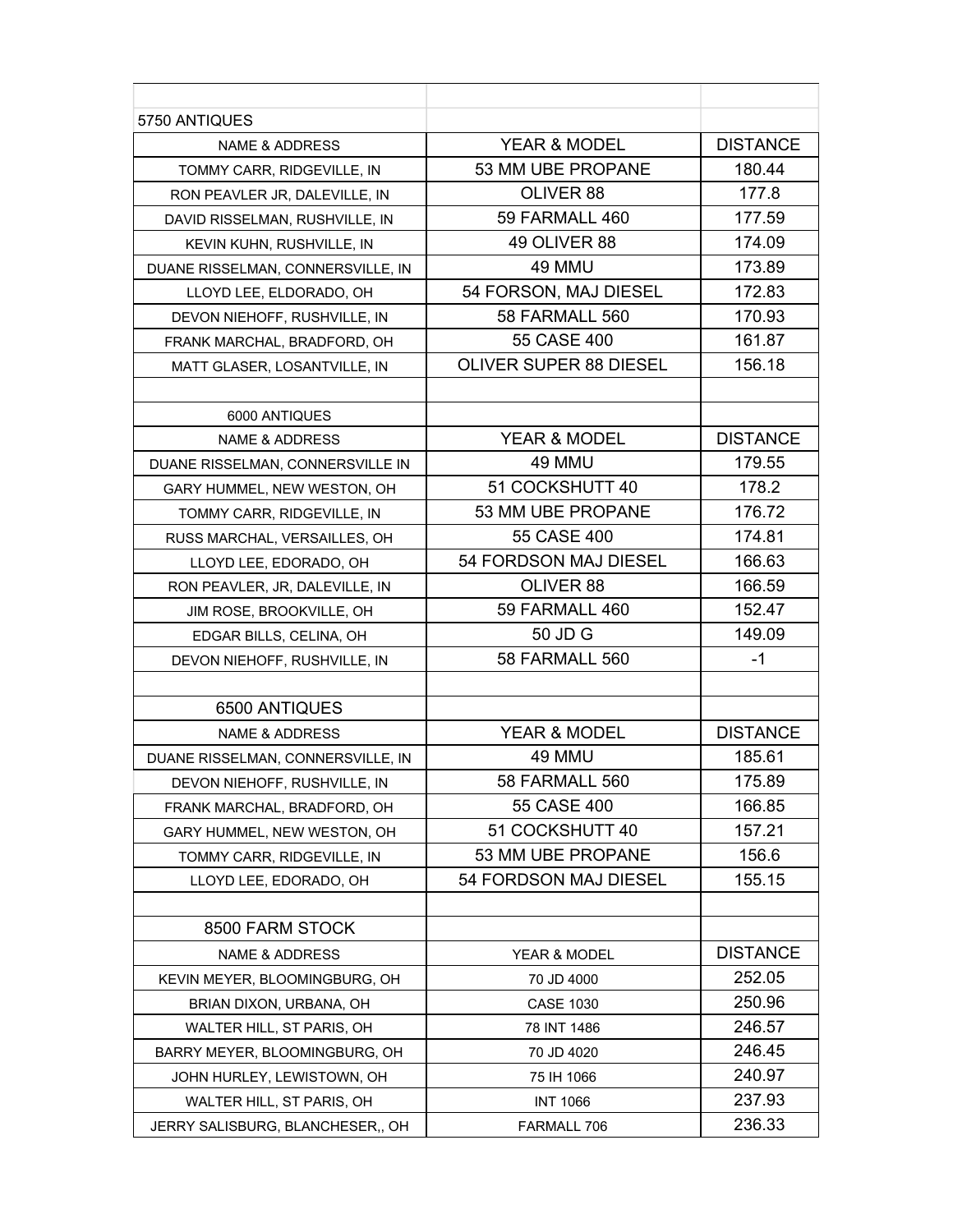| 5750 ANTIQUES                     |                               |                 |
|-----------------------------------|-------------------------------|-----------------|
| <b>NAME &amp; ADDRESS</b>         | <b>YEAR &amp; MODEL</b>       | <b>DISTANCE</b> |
| TOMMY CARR, RIDGEVILLE, IN        | 53 MM UBE PROPANE             | 180.44          |
| RON PEAVLER JR, DALEVILLE, IN     | OLIVER 88                     | 177.8           |
| DAVID RISSELMAN, RUSHVILLE, IN    | 59 FARMALL 460                | 177.59          |
| KEVIN KUHN, RUSHVILLE, IN         | 49 OLIVER 88                  | 174.09          |
| DUANE RISSELMAN, CONNERSVILLE, IN | 49 MMU                        | 173.89          |
| LLOYD LEE, ELDORADO, OH           | 54 FORSON, MAJ DIESEL         | 172.83          |
| DEVON NIEHOFF, RUSHVILLE, IN      | 58 FARMALL 560                | 170.93          |
| FRANK MARCHAL, BRADFORD, OH       | 55 CASE 400                   | 161.87          |
| MATT GLASER, LOSANTVILLE, IN      | <b>OLIVER SUPER 88 DIESEL</b> | 156.18          |
|                                   |                               |                 |
| 6000 ANTIQUES                     |                               |                 |
| <b>NAME &amp; ADDRESS</b>         | <b>YEAR &amp; MODEL</b>       | <b>DISTANCE</b> |
| DUANE RISSELMAN, CONNERSVILLE IN  | 49 MMU                        | 179.55          |
| GARY HUMMEL, NEW WESTON, OH       | 51 COCKSHUTT 40               | 178.2           |
| TOMMY CARR, RIDGEVILLE, IN        | 53 MM UBE PROPANE             | 176.72          |
| RUSS MARCHAL, VERSAILLES, OH      | 55 CASE 400                   | 174.81          |
| LLOYD LEE, EDORADO, OH            | 54 FORDSON MAJ DIESEL         | 166.63          |
| RON PEAVLER, JR, DALEVILLE, IN    | OLIVER 88                     | 166.59          |
| JIM ROSE, BROOKVILLE, OH          | 59 FARMALL 460                | 152.47          |
| EDGAR BILLS, CELINA, OH           | 50 JD G                       | 149.09          |
| DEVON NIEHOFF, RUSHVILLE, IN      | 58 FARMALL 560                | -1              |
|                                   |                               |                 |
| 6500 ANTIQUES                     |                               |                 |
| <b>NAME &amp; ADDRESS</b>         | YEAR & MODEL                  | <b>DISTANCE</b> |
| DUANE RISSELMAN, CONNERSVILLE, IN | 49 MMU                        | 185.61          |
| DEVON NIEHOFF, RUSHVILLE, IN      | 58 FARMALL 560                | 175.89          |
| FRANK MARCHAL, BRADFORD, OH       | 55 CASE 400                   | 166.85          |
| GARY HUMMEL, NEW WESTON, OH       | 51 COCKSHUTT 40               | 157.21          |
| TOMMY CARR, RIDGEVILLE, IN        | 53 MM UBE PROPANE             | 156.6           |
| LLOYD LEE, EDORADO, OH            | 54 FORDSON MAJ DIESEL         | 155.15          |
|                                   |                               |                 |
| 8500 FARM STOCK                   |                               |                 |
| <b>NAME &amp; ADDRESS</b>         | YEAR & MODEL                  | <b>DISTANCE</b> |
| KEVIN MEYER, BLOOMINGBURG, OH     | 70 JD 4000                    | 252.05          |
| BRIAN DIXON, URBANA, OH           | <b>CASE 1030</b>              | 250.96          |
| WALTER HILL, ST PARIS, OH         | 78 INT 1486                   | 246.57          |
| BARRY MEYER, BLOOMINGBURG, OH     | 70 JD 4020                    | 246.45          |
| JOHN HURLEY, LEWISTOWN, OH        | 75 IH 1066                    | 240.97          |
| WALTER HILL, ST PARIS, OH         | <b>INT 1066</b>               | 237.93          |
| JERRY SALISBURG, BLANCHESER,, OH  | FARMALL 706                   | 236.33          |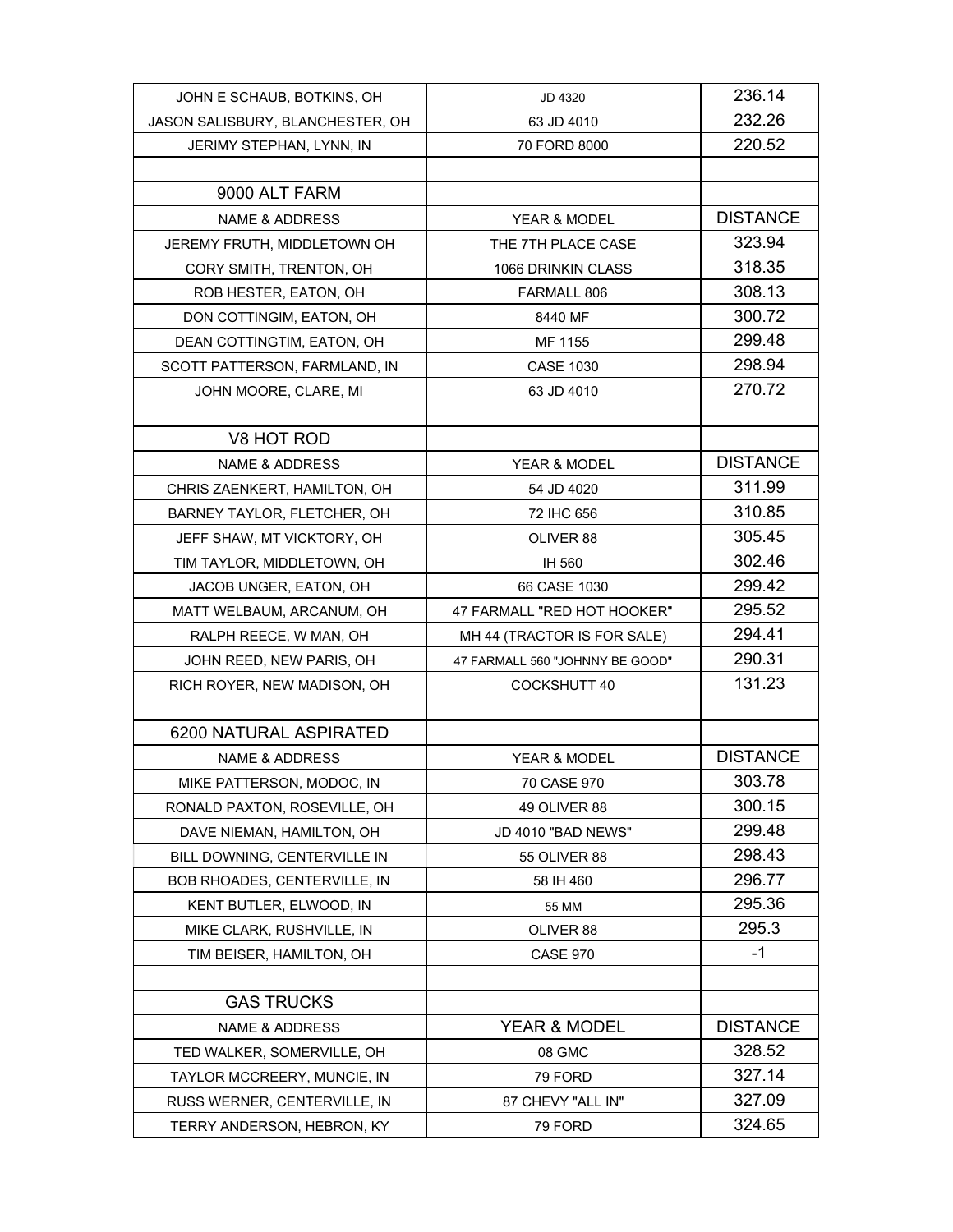| JOHN E SCHAUB, BOTKINS, OH       | JD 4320                         | 236.14          |
|----------------------------------|---------------------------------|-----------------|
| JASON SALISBURY, BLANCHESTER, OH | 63 JD 4010                      | 232.26          |
| JERIMY STEPHAN, LYNN, IN         | 70 FORD 8000                    | 220.52          |
|                                  |                                 |                 |
| 9000 ALT FARM                    |                                 |                 |
| <b>NAME &amp; ADDRESS</b>        | YEAR & MODEL                    | <b>DISTANCE</b> |
| JEREMY FRUTH, MIDDLETOWN OH      | THE 7TH PLACE CASE              | 323.94          |
| CORY SMITH, TRENTON, OH          | 1066 DRINKIN CLASS              | 318.35          |
| ROB HESTER, EATON, OH            | FARMALL 806                     | 308.13          |
| DON COTTINGIM, EATON, OH         | 8440 MF                         | 300.72          |
| DEAN COTTINGTIM, EATON, OH       | MF 1155                         | 299.48          |
| SCOTT PATTERSON, FARMLAND, IN    | <b>CASE 1030</b>                | 298.94          |
| JOHN MOORE, CLARE, MI            | 63 JD 4010                      | 270.72          |
|                                  |                                 |                 |
| V8 HOT ROD                       |                                 |                 |
| <b>NAME &amp; ADDRESS</b>        | YEAR & MODEL                    | <b>DISTANCE</b> |
| CHRIS ZAENKERT, HAMILTON, OH     | 54 JD 4020                      | 311.99          |
| BARNEY TAYLOR, FLETCHER, OH      | 72 IHC 656                      | 310.85          |
| JEFF SHAW, MT VICKTORY, OH       | OLIVER 88                       | 305.45          |
| TIM TAYLOR, MIDDLETOWN, OH       | IH 560                          | 302.46          |
| JACOB UNGER, EATON, OH           | 66 CASE 1030                    | 299.42          |
| MATT WELBAUM, ARCANUM, OH        | 47 FARMALL "RED HOT HOOKER"     | 295.52          |
| RALPH REECE, W MAN, OH           | MH 44 (TRACTOR IS FOR SALE)     | 294.41          |
| JOHN REED, NEW PARIS, OH         | 47 FARMALL 560 "JOHNNY BE GOOD" | 290.31          |
| RICH ROYER, NEW MADISON, OH      | <b>COCKSHUTT 40</b>             | 131.23          |
|                                  |                                 |                 |
| 6200 NATURAL ASPIRATED           |                                 |                 |
| <b>NAME &amp; ADDRESS</b>        | YEAR & MODEL                    | <b>DISTANCE</b> |
| MIKE PATTERSON, MODOC, IN        | 70 CASE 970                     | 303.78          |
| RONALD PAXTON, ROSEVILLE, OH     | 49 OLIVER 88                    | 300.15          |
| DAVE NIEMAN, HAMILTON, OH        | JD 4010 "BAD NEWS"              | 299.48          |
| BILL DOWNING, CENTERVILLE IN     | 55 OLIVER 88                    | 298.43          |
| BOB RHOADES, CENTERVILLE, IN     | 58 IH 460                       | 296.77          |
| KENT BUTLER, ELWOOD, IN          | 55 MM                           | 295.36          |
| MIKE CLARK, RUSHVILLE, IN        | OLIVER 88                       | 295.3           |
| TIM BEISER, HAMILTON, OH         | <b>CASE 970</b>                 | -1              |
|                                  |                                 |                 |
| <b>GAS TRUCKS</b>                |                                 |                 |
| <b>NAME &amp; ADDRESS</b>        | YEAR & MODEL                    | <b>DISTANCE</b> |
| TED WALKER, SOMERVILLE, OH       | 08 GMC                          | 328.52          |
| TAYLOR MCCREERY, MUNCIE, IN      | 79 FORD                         | 327.14          |
| RUSS WERNER, CENTERVILLE, IN     | 87 CHEVY "ALL IN"               | 327.09          |
| TERRY ANDERSON, HEBRON, KY       | 79 FORD                         | 324.65          |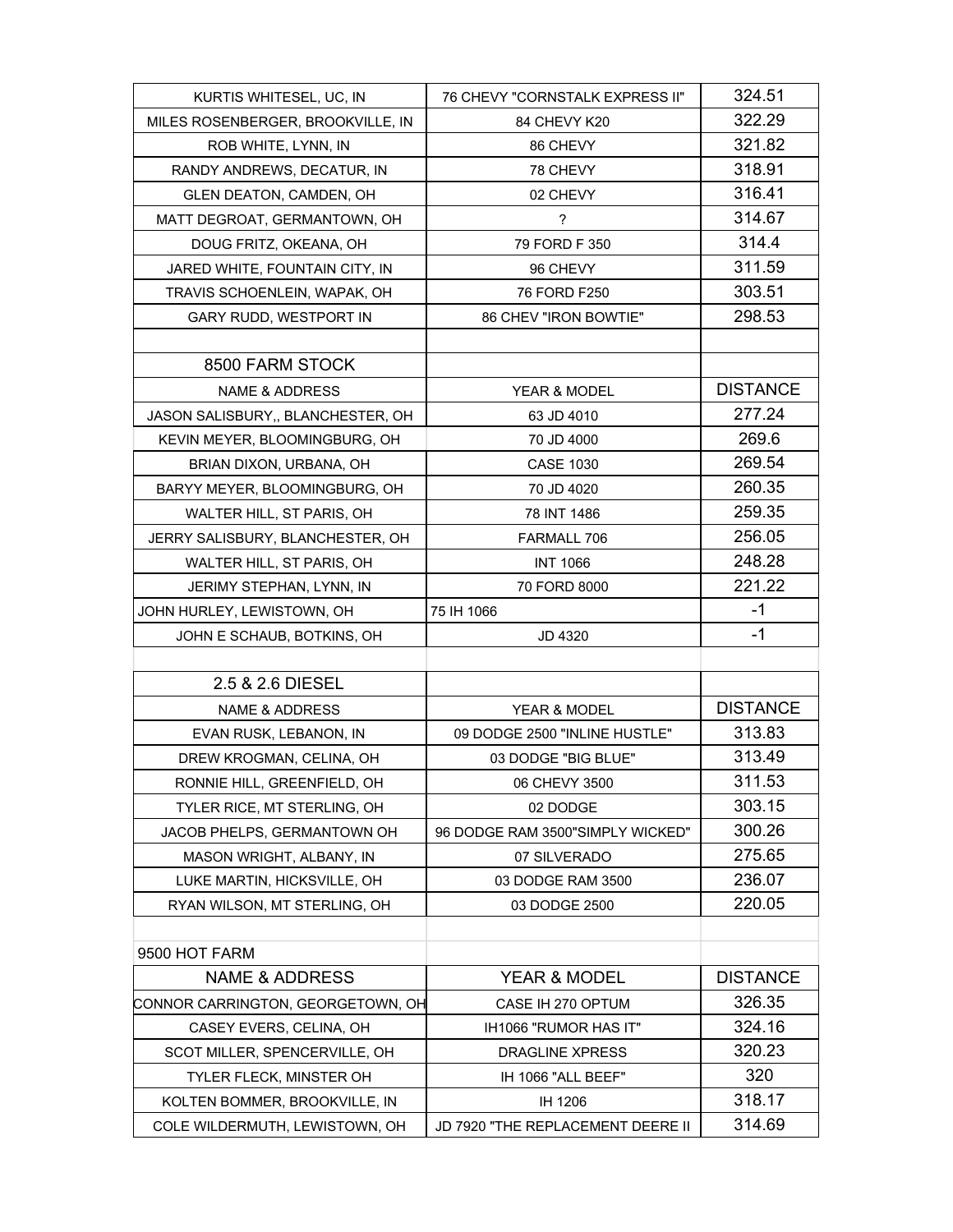| KURTIS WHITESEL, UC, IN           | 76 CHEVY "CORNSTALK EXPRESS II"   | 324.51          |
|-----------------------------------|-----------------------------------|-----------------|
| MILES ROSENBERGER, BROOKVILLE, IN | 84 CHEVY K20                      | 322.29          |
| ROB WHITE, LYNN, IN               | 86 CHEVY                          | 321.82          |
| RANDY ANDREWS, DECATUR, IN        | 78 CHEVY                          | 318.91          |
| GLEN DEATON, CAMDEN, OH           | 02 CHEVY                          | 316.41          |
| MATT DEGROAT, GERMANTOWN, OH      | $\overline{\phantom{a}}$          | 314.67          |
| DOUG FRITZ, OKEANA, OH            | 79 FORD F 350                     | 314.4           |
| JARED WHITE, FOUNTAIN CITY, IN    | 96 CHEVY                          | 311.59          |
| TRAVIS SCHOENLEIN, WAPAK, OH      | 76 FORD F250                      | 303.51          |
| GARY RUDD, WESTPORT IN            | 86 CHEV "IRON BOWTIE"             | 298.53          |
|                                   |                                   |                 |
| 8500 FARM STOCK                   |                                   |                 |
| <b>NAME &amp; ADDRESS</b>         | YEAR & MODEL                      | <b>DISTANCE</b> |
| JASON SALISBURY,, BLANCHESTER, OH | 63 JD 4010                        | 277.24          |
| KEVIN MEYER, BLOOMINGBURG, OH     | 70 JD 4000                        | 269.6           |
| BRIAN DIXON, URBANA, OH           | <b>CASE 1030</b>                  | 269.54          |
| BARYY MEYER, BLOOMINGBURG, OH     | 70 JD 4020                        | 260.35          |
| WALTER HILL, ST PARIS, OH         | 78 INT 1486                       | 259.35          |
| JERRY SALISBURY, BLANCHESTER, OH  | FARMALL 706                       | 256.05          |
| WALTER HILL, ST PARIS, OH         | <b>INT 1066</b>                   | 248.28          |
| JERIMY STEPHAN, LYNN, IN          | 70 FORD 8000                      | 221.22          |
| JOHN HURLEY, LEWISTOWN, OH        | 75 IH 1066                        | -1              |
| JOHN E SCHAUB, BOTKINS, OH        | JD 4320                           | $-1$            |
|                                   |                                   |                 |
| 2.5 & 2.6 DIESEL                  |                                   |                 |
| <b>NAME &amp; ADDRESS</b>         | <b>YEAR &amp; MODEL</b>           | <b>DISTANCE</b> |
| EVAN RUSK, LEBANON, IN            | 09 DODGE 2500 "INLINE HUSTLE"     | 313.83          |
| DREW KROGMAN, CELINA, OH          | 03 DODGE "BIG BLUE"               | 313.49          |
| RONNIE HILL, GREENFIELD, OH       | 06 CHEVY 3500                     | 311.53          |
| TYLER RICE, MT STERLING, OH       | 02 DODGE                          | 303.15          |
| JACOB PHELPS, GERMANTOWN OH       | 96 DODGE RAM 3500"SIMPLY WICKED"  | 300.26          |
| MASON WRIGHT, ALBANY, IN          | 07 SILVERADO                      | 275.65          |
| LUKE MARTIN, HICKSVILLE, OH       | 03 DODGE RAM 3500                 | 236.07          |
| RYAN WILSON, MT STERLING, OH      | 03 DODGE 2500                     | 220.05          |
|                                   |                                   |                 |
| 9500 HOT FARM                     |                                   |                 |
| <b>NAME &amp; ADDRESS</b>         | YEAR & MODEL                      | <b>DISTANCE</b> |
| CONNOR CARRINGTON, GEORGETOWN, OH | CASE IH 270 OPTUM                 | 326.35          |
| CASEY EVERS, CELINA, OH           | IH1066 "RUMOR HAS IT"             | 324.16          |
| SCOT MILLER, SPENCERVILLE, OH     | DRAGLINE XPRESS                   | 320.23          |
| <b>TYLER FLECK, MINSTER OH</b>    | IH 1066 "ALL BEEF"                | 320             |
| KOLTEN BOMMER, BROOKVILLE, IN     | IH 1206                           | 318.17          |
| COLE WILDERMUTH, LEWISTOWN, OH    | JD 7920 "THE REPLACEMENT DEERE II | 314.69          |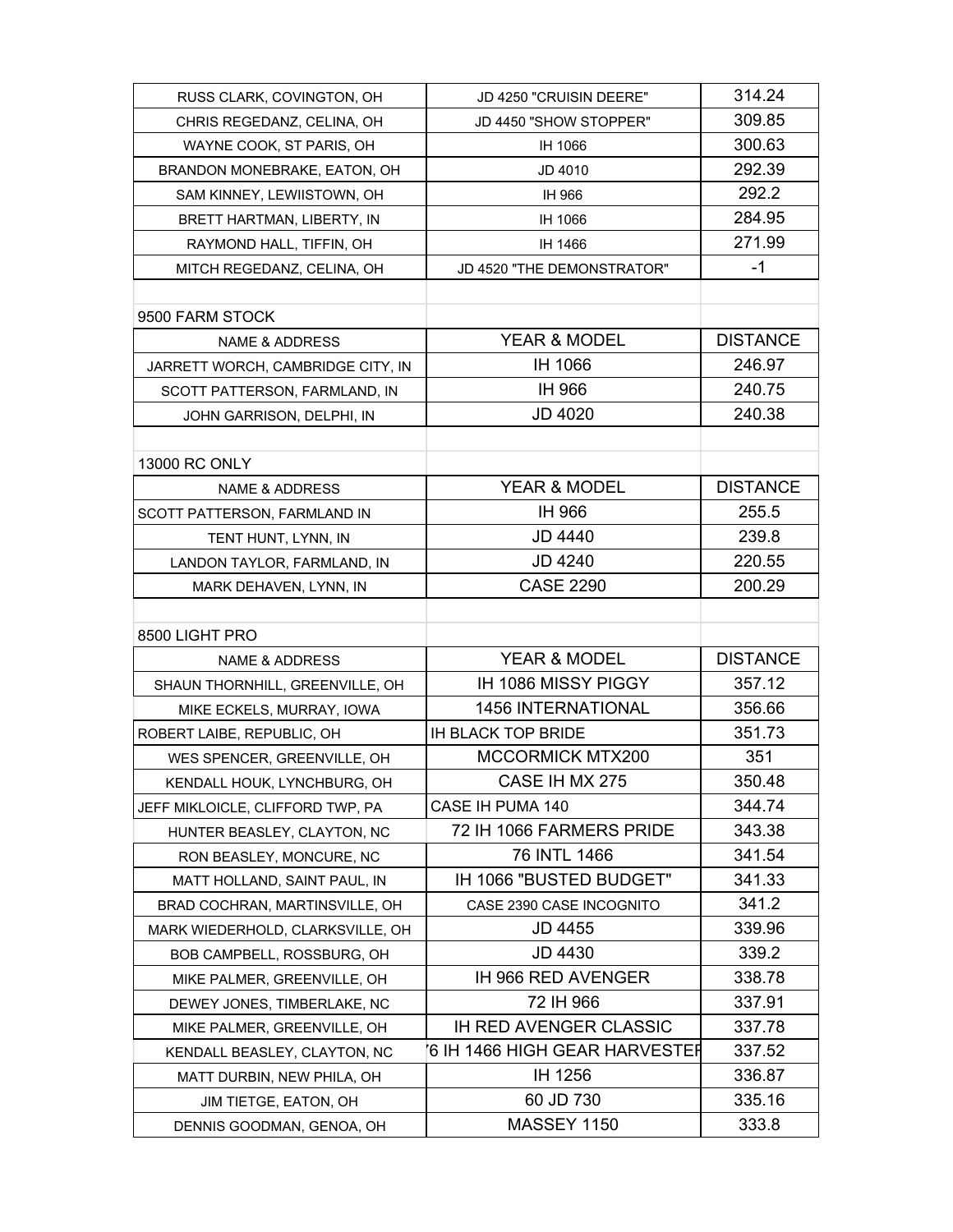| RUSS CLARK, COVINGTON, OH         | JD 4250 "CRUISIN DEERE"       | 314.24          |
|-----------------------------------|-------------------------------|-----------------|
| CHRIS REGEDANZ, CELINA, OH        | JD 4450 "SHOW STOPPER"        | 309.85          |
| WAYNE COOK, ST PARIS, OH          | IH 1066                       | 300.63          |
| BRANDON MONEBRAKE, EATON, OH      | JD 4010                       | 292.39          |
| SAM KINNEY, LEWIISTOWN, OH        | IH 966                        | 292.2           |
| BRETT HARTMAN, LIBERTY, IN        | IH 1066                       | 284.95          |
| RAYMOND HALL, TIFFIN, OH          | IH 1466                       | 271.99          |
| MITCH REGEDANZ, CELINA, OH        | JD 4520 "THE DEMONSTRATOR"    | $-1$            |
|                                   |                               |                 |
| 9500 FARM STOCK                   |                               |                 |
| <b>NAME &amp; ADDRESS</b>         | <b>YEAR &amp; MODEL</b>       | <b>DISTANCE</b> |
| JARRETT WORCH, CAMBRIDGE CITY, IN | IH 1066                       | 246.97          |
| SCOTT PATTERSON, FARMLAND, IN     | IH 966                        | 240.75          |
| JOHN GARRISON, DELPHI, IN         | <b>JD 4020</b>                | 240.38          |
|                                   |                               |                 |
| 13000 RC ONLY                     |                               |                 |
| NAME & ADDRESS                    | YEAR & MODEL                  | <b>DISTANCE</b> |
| SCOTT PATTERSON, FARMLAND IN      | IH 966                        | 255.5           |
| TENT HUNT, LYNN, IN               | <b>JD 4440</b>                | 239.8           |
| LANDON TAYLOR, FARMLAND, IN       | <b>JD 4240</b>                | 220.55          |
| MARK DEHAVEN, LYNN, IN            | <b>CASE 2290</b>              | 200.29          |
|                                   |                               |                 |
| 8500 LIGHT PRO                    |                               |                 |
| <b>NAME &amp; ADDRESS</b>         | YEAR & MODEL                  | <b>DISTANCE</b> |
| SHAUN THORNHILL, GREENVILLE, OH   | IH 1086 MISSY PIGGY           | 357.12          |
| MIKE ECKELS, MURRAY, IOWA         | <b>1456 INTERNATIONAL</b>     | 356.66          |
| ROBERT LAIBE, REPUBLIC, OH        | <b>IH BLACK TOP BRIDE</b>     | 351.73          |
| WES SPENCER, GREENVILLE, OH       | <b>MCCORMICK MTX200</b>       | 351             |
| KENDALL HOUK, LYNCHBURG, OH       | CASE IH MX 275                | 350.48          |
| JEFF MIKLOICLE, CLIFFORD TWP, PA  | CASE IH PUMA 140              | 344.74          |
| HUNTER BEASLEY, CLAYTON, NC       | 72 IH 1066 FARMERS PRIDE      | 343.38          |
| RON BEASLEY, MONCURE, NC          | 76 INTL 1466                  | 341.54          |
| MATT HOLLAND, SAINT PAUL, IN      | IH 1066 "BUSTED BUDGET"       | 341.33          |
| BRAD COCHRAN, MARTINSVILLE, OH    | CASE 2390 CASE INCOGNITO      | 341.2           |
| MARK WIEDERHOLD, CLARKSVILLE, OH  | <b>JD 4455</b>                | 339.96          |
| BOB CAMPBELL, ROSSBURG, OH        | <b>JD 4430</b>                | 339.2           |
| MIKE PALMER, GREENVILLE, OH       | IH 966 RED AVENGER            | 338.78          |
| DEWEY JONES, TIMBERLAKE, NC       | 72 IH 966                     | 337.91          |
| MIKE PALMER, GREENVILLE, OH       | <b>IH RED AVENGER CLASSIC</b> | 337.78          |
| KENDALL BEASLEY, CLAYTON, NC      | 6 IH 1466 HIGH GEAR HARVESTER | 337.52          |
| MATT DURBIN, NEW PHILA, OH        | IH 1256                       | 336.87          |
| JIM TIETGE, EATON, OH             | 60 JD 730                     | 335.16          |
| DENNIS GOODMAN, GENOA, OH         | <b>MASSEY 1150</b>            | 333.8           |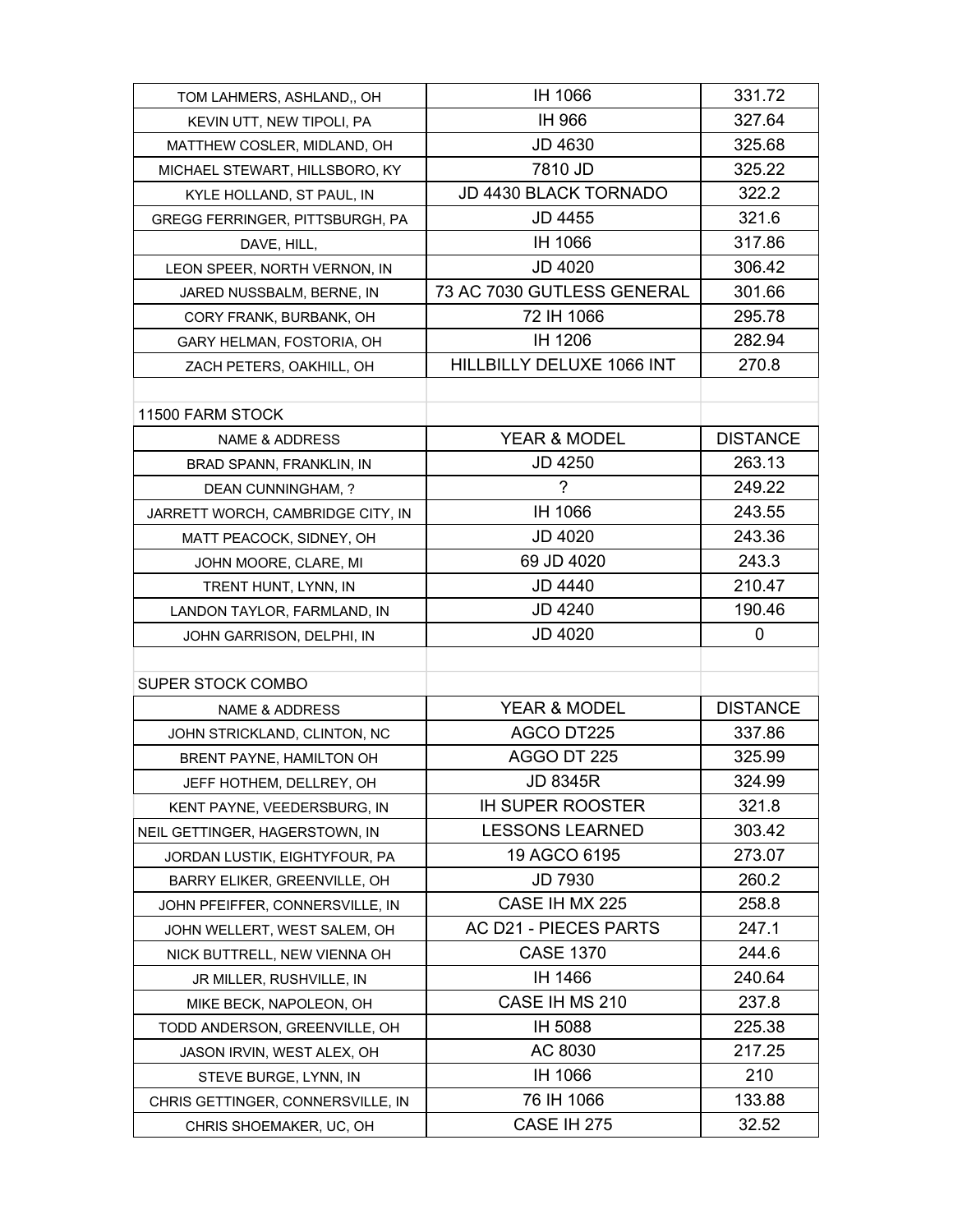| TOM LAHMERS, ASHLAND,, OH         | IH 1066                    | 331.72          |
|-----------------------------------|----------------------------|-----------------|
| KEVIN UTT, NEW TIPOLI, PA         | IH 966                     | 327.64          |
| MATTHEW COSLER, MIDLAND, OH       | <b>JD 4630</b>             | 325.68          |
| MICHAEL STEWART, HILLSBORO, KY    | 7810 JD                    | 325.22          |
| KYLE HOLLAND, ST PAUL, IN         | JD 4430 BLACK TORNADO      | 322.2           |
| GREGG FERRINGER, PITTSBURGH, PA   | JD 4455                    | 321.6           |
| DAVE, HILL,                       | IH 1066                    | 317.86          |
| LEON SPEER, NORTH VERNON, IN      | JD 4020                    | 306.42          |
| JARED NUSSBALM, BERNE, IN         | 73 AC 7030 GUTLESS GENERAL | 301.66          |
| CORY FRANK, BURBANK, OH           | 72 IH 1066                 | 295.78          |
| GARY HELMAN, FOSTORIA, OH         | IH 1206                    | 282.94          |
| ZACH PETERS, OAKHILL, OH          | HILLBILLY DELUXE 1066 INT  | 270.8           |
|                                   |                            |                 |
| 11500 FARM STOCK                  |                            |                 |
| <b>NAME &amp; ADDRESS</b>         | YEAR & MODEL               | <b>DISTANCE</b> |
| BRAD SPANN, FRANKLIN, IN          | JD 4250                    | 263.13          |
| DEAN CUNNINGHAM, ?                | ?                          | 249.22          |
| JARRETT WORCH, CAMBRIDGE CITY, IN | IH 1066                    | 243.55          |
| MATT PEACOCK, SIDNEY, OH          | JD 4020                    | 243.36          |
| JOHN MOORE, CLARE, MI             | 69 JD 4020                 | 243.3           |
| TRENT HUNT, LYNN, IN              | <b>JD 4440</b>             | 210.47          |
| LANDON TAYLOR, FARMLAND, IN       | <b>JD 4240</b>             | 190.46          |
| JOHN GARRISON, DELPHI, IN         | JD 4020                    | 0               |
|                                   |                            |                 |
| SUPER STOCK COMBO                 |                            |                 |
| <b>NAME &amp; ADDRESS</b>         | YEAR & MODEL               | <b>DISTANCE</b> |
| JOHN STRICKLAND, CLINTON, NC      | AGCO DT225                 | 337.86          |
| BRENT PAYNE, HAMILTON OH          | AGGO DT 225                | 325.99          |
| JEFF HOTHEM, DELLREY, OH          | JD 8345R                   | 324.99          |
| KENT PAYNE, VEEDERSBURG, IN       | <b>IH SUPER ROOSTER</b>    | 321.8           |
| NEIL GETTINGER, HAGERSTOWN, IN    | <b>LESSONS LEARNED</b>     | 303.42          |
| JORDAN LUSTIK, EIGHTYFOUR, PA     | 19 AGCO 6195               | 273.07          |
| BARRY ELIKER, GREENVILLE, OH      | JD 7930                    | 260.2           |
| JOHN PFEIFFER, CONNERSVILLE, IN   | CASE IH MX 225             | 258.8           |
| JOHN WELLERT, WEST SALEM, OH      | AC D21 - PIECES PARTS      | 247.1           |
| NICK BUTTRELL, NEW VIENNA OH      | <b>CASE 1370</b>           | 244.6           |
| JR MILLER, RUSHVILLE, IN          | IH 1466                    | 240.64          |
| MIKE BECK, NAPOLEON, OH           | CASE IH MS 210             | 237.8           |
| TODD ANDERSON, GREENVILLE, OH     | IH 5088                    | 225.38          |
| JASON IRVIN, WEST ALEX, OH        | AC 8030                    | 217.25          |
| STEVE BURGE, LYNN, IN             | IH 1066                    | 210             |
| CHRIS GETTINGER, CONNERSVILLE, IN | 76 IH 1066                 | 133.88          |
| CHRIS SHOEMAKER, UC, OH           | CASE IH 275                | 32.52           |